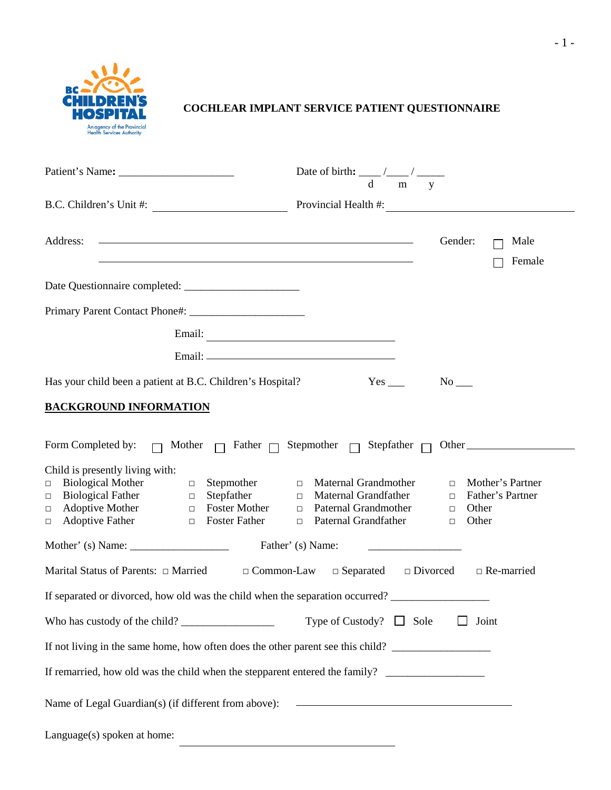

# **COCHLEAR IMPLANT SERVICE PATIENT QUESTIONNAIRE**

|                                                                                                                                                                                                                                                                                                                                                                                                                                             | Date of birth: $\frac{d}{dx}$ / $\frac{d}{dx}$ / $\frac{d}{dx}$ |                              |                                               |
|---------------------------------------------------------------------------------------------------------------------------------------------------------------------------------------------------------------------------------------------------------------------------------------------------------------------------------------------------------------------------------------------------------------------------------------------|-----------------------------------------------------------------|------------------------------|-----------------------------------------------|
|                                                                                                                                                                                                                                                                                                                                                                                                                                             |                                                                 |                              |                                               |
| <u> 2008 - Andrea Andrew Maria (h. 1878).</u><br>Address:<br>the contract of the contract of the contract of the contract of the contract of the contract of the contract of                                                                                                                                                                                                                                                                |                                                                 | Gender:                      | Male<br>Female                                |
|                                                                                                                                                                                                                                                                                                                                                                                                                                             |                                                                 |                              |                                               |
|                                                                                                                                                                                                                                                                                                                                                                                                                                             |                                                                 |                              |                                               |
|                                                                                                                                                                                                                                                                                                                                                                                                                                             |                                                                 |                              |                                               |
|                                                                                                                                                                                                                                                                                                                                                                                                                                             |                                                                 |                              |                                               |
| Has your child been a patient at B.C. Children's Hospital?                                                                                                                                                                                                                                                                                                                                                                                  |                                                                 | $No$ <sub>——</sub>           |                                               |
| <b>BACKGROUND INFORMATION</b>                                                                                                                                                                                                                                                                                                                                                                                                               |                                                                 |                              |                                               |
| Form Completed by: $\Box$ Mother $\Box$ Father $\Box$ Stepmother $\Box$ Stepfather $\Box$ Other<br>Child is presently living with:<br>□ Biological Mother<br>□ Biological Father<br>□ Stephather<br>□ Stephather<br>□ Stephather<br>□ Stephather<br>□ Stephather<br>□ Maternal Grandfather<br>□ Maternal Grandfather<br>□ Maternal Grandfather<br>□ Maternal Grandfather<br>□ Paternal Gr<br>$\Box$ Adoptive Father<br>$\Box$ Foster Father | $\Box$ Paternal Grandfather                                     | $\Box$ Other<br>$\Box$ Other | $\Box$ Mother's Partner<br>□ Father's Partner |
|                                                                                                                                                                                                                                                                                                                                                                                                                                             |                                                                 |                              |                                               |
| Marital Status of Parents: $\Box$ Married $\Box$ Common-Law $\Box$ Separated $\Box$ Divorced                                                                                                                                                                                                                                                                                                                                                |                                                                 |                              | $\Box$ Re-married                             |
| If separated or divorced, how old was the child when the separation occurred?                                                                                                                                                                                                                                                                                                                                                               |                                                                 |                              |                                               |
|                                                                                                                                                                                                                                                                                                                                                                                                                                             | Type of Custody? $\Box$ Sole                                    |                              | Joint                                         |
| If not living in the same home, how often does the other parent see this child?                                                                                                                                                                                                                                                                                                                                                             |                                                                 |                              |                                               |
|                                                                                                                                                                                                                                                                                                                                                                                                                                             |                                                                 |                              |                                               |
| Name of Legal Guardian(s) (if different from above): ____________________________                                                                                                                                                                                                                                                                                                                                                           |                                                                 |                              |                                               |
| Language(s) spoken at home:                                                                                                                                                                                                                                                                                                                                                                                                                 |                                                                 |                              |                                               |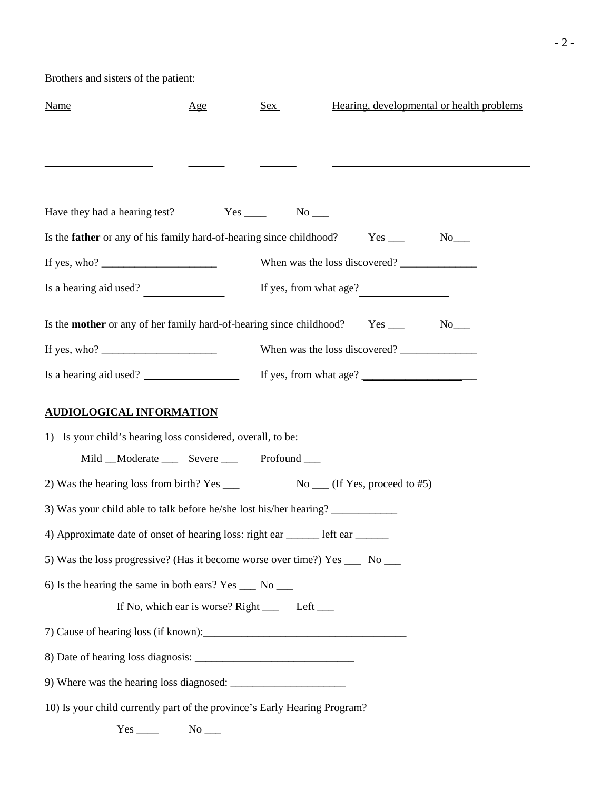Brothers and sisters of the patient:

| Name                                                                                                                                                                                                                                                                                                  | Age | Sex                                                | Hearing, developmental or health problems<br>the control of the control of the control of the control of the control of the control of                                                 |
|-------------------------------------------------------------------------------------------------------------------------------------------------------------------------------------------------------------------------------------------------------------------------------------------------------|-----|----------------------------------------------------|----------------------------------------------------------------------------------------------------------------------------------------------------------------------------------------|
| the control of the control of the control of the control of<br>the control of the control of the control of                                                                                                                                                                                           |     |                                                    | the control of the control of the control of the control of the control of the control of<br>the control of the control of the control of the control of the control of the control of |
| <u> 1989 - Johann Barbara, martin a</u>                                                                                                                                                                                                                                                               |     |                                                    | <u> 1989 - Andrea Stadt Britain, amerikansk politiker (</u>                                                                                                                            |
|                                                                                                                                                                                                                                                                                                       |     |                                                    |                                                                                                                                                                                        |
| Is the <b>father</b> or any of his family hard-of-hearing since childhood?                                                                                                                                                                                                                            |     |                                                    | $No$ <sub>___</sub>                                                                                                                                                                    |
| If yes, who? $\frac{1}{2}$ = $\frac{1}{2}$ = $\frac{1}{2}$ = $\frac{1}{2}$ = $\frac{1}{2}$ = $\frac{1}{2}$ = $\frac{1}{2}$ = $\frac{1}{2}$ = $\frac{1}{2}$ = $\frac{1}{2}$ = $\frac{1}{2}$ = $\frac{1}{2}$ = $\frac{1}{2}$ = $\frac{1}{2}$ = $\frac{1}{2}$ = $\frac{1}{2}$ = $\frac{1}{2}$ = $\frac{$ |     |                                                    | When was the loss discovered?                                                                                                                                                          |
| Is a hearing aid used?                                                                                                                                                                                                                                                                                |     |                                                    |                                                                                                                                                                                        |
| Is the <b>mother</b> or any of her family hard-of-hearing since childhood? Yes ____                                                                                                                                                                                                                   |     |                                                    | $No$ <sub>___</sub>                                                                                                                                                                    |
| If yes, who? $\frac{1}{2}$ is the same set of yes.                                                                                                                                                                                                                                                    |     |                                                    | When was the loss discovered?                                                                                                                                                          |
| Is a hearing aid used?                                                                                                                                                                                                                                                                                |     |                                                    |                                                                                                                                                                                        |
| <b>AUDIOLOGICAL INFORMATION</b>                                                                                                                                                                                                                                                                       |     |                                                    |                                                                                                                                                                                        |
| 1) Is your child's hearing loss considered, overall, to be:                                                                                                                                                                                                                                           |     |                                                    |                                                                                                                                                                                        |
| Mild __Moderate _____ Severe _____ Profound ____                                                                                                                                                                                                                                                      |     |                                                    |                                                                                                                                                                                        |
| 2) Was the hearing loss from birth? Yes ______                                                                                                                                                                                                                                                        |     |                                                    | $\text{No}_{\text{max}}$ (If Yes, proceed to #5)                                                                                                                                       |
| 3) Was your child able to talk before he/she lost his/her hearing?                                                                                                                                                                                                                                    |     |                                                    |                                                                                                                                                                                        |
| 4) Approximate date of onset of hearing loss: right ear ______ left ear _______                                                                                                                                                                                                                       |     |                                                    |                                                                                                                                                                                        |
| 5) Was the loss progressive? (Has it become worse over time?) Yes _____ No _____                                                                                                                                                                                                                      |     |                                                    |                                                                                                                                                                                        |
| 6) Is the hearing the same in both ears? Yes $\_\_\_\$ No $\_\_\_\$                                                                                                                                                                                                                                   |     |                                                    |                                                                                                                                                                                        |
|                                                                                                                                                                                                                                                                                                       |     | If No, which ear is worse? Right ______ Left _____ |                                                                                                                                                                                        |
|                                                                                                                                                                                                                                                                                                       |     |                                                    |                                                                                                                                                                                        |
|                                                                                                                                                                                                                                                                                                       |     |                                                    |                                                                                                                                                                                        |
|                                                                                                                                                                                                                                                                                                       |     |                                                    |                                                                                                                                                                                        |
| 10) Is your child currently part of the province's Early Hearing Program?                                                                                                                                                                                                                             |     |                                                    |                                                                                                                                                                                        |
|                                                                                                                                                                                                                                                                                                       |     |                                                    |                                                                                                                                                                                        |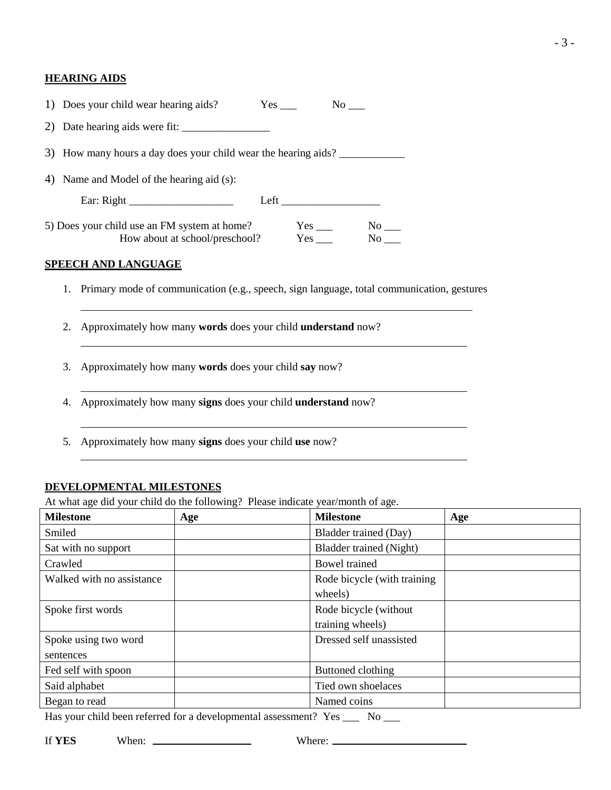#### **HEARING AIDS**

| 1) Does your child wear hearing aids?                                          |     | No results.                                                                                                                                                                                                                                                                                                                                                                                                                                                      |  |  |
|--------------------------------------------------------------------------------|-----|------------------------------------------------------------------------------------------------------------------------------------------------------------------------------------------------------------------------------------------------------------------------------------------------------------------------------------------------------------------------------------------------------------------------------------------------------------------|--|--|
|                                                                                |     |                                                                                                                                                                                                                                                                                                                                                                                                                                                                  |  |  |
| 3) How many hours a day does your child wear the hearing aids?                 |     |                                                                                                                                                                                                                                                                                                                                                                                                                                                                  |  |  |
| 4) Name and Model of the hearing aid (s):                                      |     |                                                                                                                                                                                                                                                                                                                                                                                                                                                                  |  |  |
|                                                                                |     |                                                                                                                                                                                                                                                                                                                                                                                                                                                                  |  |  |
| 5) Does your child use an FM system at home?<br>How about at school/preschool? | Yes | No the set of the set of the set of the set of the set of the set of the set of the set of the set of the set of the set of the set of the set of the set of the set of the set of the set of the set of the set of the set of<br>No the set of the set of the set of the set of the set of the set of the set of the set of the set of the set of the set of the set of the set of the set of the set of the set of the set of the set of the set of the set of |  |  |

#### **SPEECH AND LANGUAGE**

- 1. Primary mode of communication (e.g., speech, sign language, total communication, gestures
- 2. Approximately how many **words** does your child **understand** now?
- 3. Approximately how many **words** does your child **say** now?
- 4. Approximately how many **signs** does your child **understand** now?
- 5. Approximately how many **signs** does your child **use** now?

#### **DEVELOPMENTAL MILESTONES**

At what age did your child do the following? Please indicate year/month of age.

| <b>Milestone</b>          | Age | <b>Milestone</b>             | Age |
|---------------------------|-----|------------------------------|-----|
| Smiled                    |     | Bladder trained (Day)        |     |
| Sat with no support       |     | Bladder trained (Night)      |     |
| Crawled                   |     | Bowel trained                |     |
| Walked with no assistance |     | Rode bicycle (with training) |     |
|                           |     | wheels)                      |     |
| Spoke first words         |     | Rode bicycle (without        |     |
|                           |     | training wheels)             |     |
| Spoke using two word      |     | Dressed self unassisted      |     |
| sentences                 |     |                              |     |
| Fed self with spoon       |     | Buttoned clothing            |     |
| Said alphabet             |     | Tied own shoelaces           |     |
| Began to read             |     | Named coins                  |     |

Has your child been referred for a developmental assessment? Yes \_\_\_ No \_\_\_

If **YES** When: Where: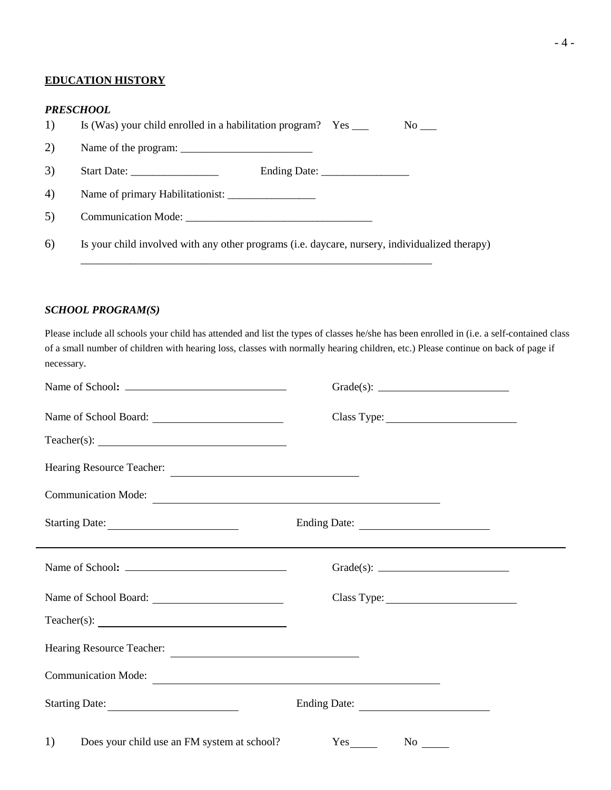#### **EDUCATION HISTORY**

#### *PRESCHOOL*

| 1) | Is (Was) your child enrolled in a habilitation program? Yes ____                               |  | $No$ — |
|----|------------------------------------------------------------------------------------------------|--|--------|
| 2) |                                                                                                |  |        |
| 3) |                                                                                                |  |        |
| 4) |                                                                                                |  |        |
| 5) |                                                                                                |  |        |
| 6) | Is your child involved with any other programs (i.e. daycare, nursery, individualized therapy) |  |        |

# *SCHOOL PROGRAM(S)*

Please include all schools your child has attended and list the types of classes he/she has been enrolled in (i.e. a self-contained class of a small number of children with hearing loss, classes with normally hearing children, etc.) Please continue on back of page if necessary.

| Hearing Resource Teacher:                         |                                                                                  |
|---------------------------------------------------|----------------------------------------------------------------------------------|
| Communication Mode:                               |                                                                                  |
| Starting Date:                                    | ,我们也不会有什么。""我们的人,我们也不会有什么?""我们的人,我们也不会有什么?""我们的人,我们也不会有什么?""我们的人,我们也不会有什么?""我们的人 |
|                                                   | Grade(s): $\qquad \qquad$                                                        |
|                                                   |                                                                                  |
|                                                   |                                                                                  |
| Hearing Resource Teacher:                         |                                                                                  |
| Communication Mode:                               |                                                                                  |
| Starting Date:                                    | Ending Date:                                                                     |
| Does your child use an FM system at school?<br>1) | $Yes$ <sub>_________</sub>                                                       |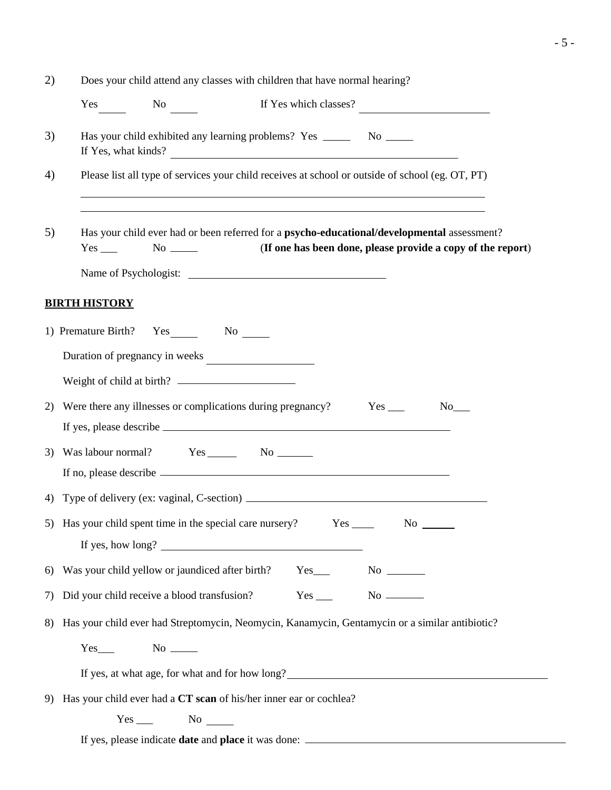| 2) | Does your child attend any classes with children that have normal hearing?                                                                                                           |  |  |  |  |  |
|----|--------------------------------------------------------------------------------------------------------------------------------------------------------------------------------------|--|--|--|--|--|
|    | Yes No<br>If Yes which classes?                                                                                                                                                      |  |  |  |  |  |
| 3) | Has your child exhibited any learning problems? Yes _________ No _______<br>If Yes, what kinds?<br><u> 1989 - Johann Barbara, martxa amerikan personal (h. 1989).</u>                |  |  |  |  |  |
| 4) | Please list all type of services your child receives at school or outside of school (eg. OT, PT)<br>,我们也不会有什么。""我们的人,我们也不会有什么?""我们的人,我们也不会有什么?""我们的人,我们也不会有什么?""我们的人,我们也不会有什么?""我们的人 |  |  |  |  |  |
| 5) | Has your child ever had or been referred for a psycho-educational/developmental assessment?<br>(If one has been done, please provide a copy of the report)                           |  |  |  |  |  |
|    |                                                                                                                                                                                      |  |  |  |  |  |
|    | <b>BIRTH HISTORY</b>                                                                                                                                                                 |  |  |  |  |  |
|    | 1) Premature Birth? Yes No No No                                                                                                                                                     |  |  |  |  |  |
|    | Duration of pregnancy in weeks                                                                                                                                                       |  |  |  |  |  |
|    |                                                                                                                                                                                      |  |  |  |  |  |
| 2) | Were there any illnesses or complications during pregnancy?<br>$No$ <sub>___</sub>                                                                                                   |  |  |  |  |  |
| 3) |                                                                                                                                                                                      |  |  |  |  |  |
|    | 4) Type of delivery (ex: vaginal, C-section) ___________________________________                                                                                                     |  |  |  |  |  |
|    |                                                                                                                                                                                      |  |  |  |  |  |
|    | 6) Was your child yellow or jaundiced after birth? Yes___________________________                                                                                                    |  |  |  |  |  |
| 7) | $Yes$ No $\_\_$<br>Did your child receive a blood transfusion?                                                                                                                       |  |  |  |  |  |
|    | 8) Has your child ever had Streptomycin, Neomycin, Kanamycin, Gentamycin or a similar antibiotic?                                                                                    |  |  |  |  |  |
|    | $Yes$ No $\_\_$                                                                                                                                                                      |  |  |  |  |  |
|    | If yes, at what age, for what and for how long?                                                                                                                                      |  |  |  |  |  |
| 9) | Has your child ever had a CT scan of his/her inner ear or cochlea?                                                                                                                   |  |  |  |  |  |
|    | $Yes$ No $\_\_$                                                                                                                                                                      |  |  |  |  |  |
|    |                                                                                                                                                                                      |  |  |  |  |  |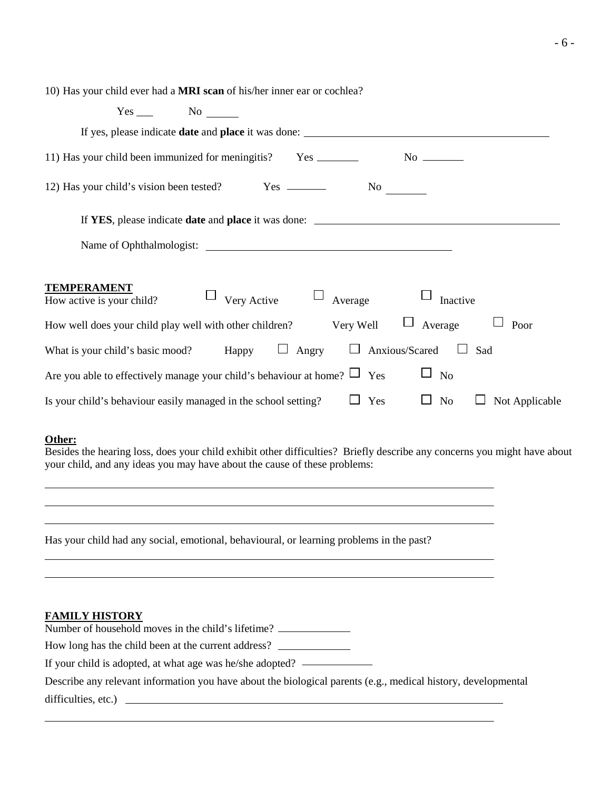10) Has your child ever had a **MRI scan** of his/her inner ear or cochlea?

| No<br>Yes                                                                                                  |
|------------------------------------------------------------------------------------------------------------|
| If yes, please indicate date and place it was done: _____________________________                          |
| 11) Has your child been immunized for meningitis? Yes ________                                             |
|                                                                                                            |
| If YES, please indicate date and place it was done: _____________________________                          |
|                                                                                                            |
|                                                                                                            |
| <b>TEMPERAMENT</b><br>Very Active $\Box$ Average<br>Inactive<br>How active is your child?                  |
| $\Box$<br>$\Box$<br>Average<br>How well does your child play well with other children? Very Well<br>Poor   |
| $\Box$ Angry<br>$\Box$ Anxious/Scared $\Box$<br>What is your child's basic mood? Happy<br>Sad              |
| Are you able to effectively manage your child's behaviour at home? $\Box$ Yes<br>N <sub>o</sub>            |
| Yes<br>Is your child's behaviour easily managed in the school setting?<br>Not Applicable<br>N <sub>o</sub> |

### **Other:**

Besides the hearing loss, does your child exhibit other difficulties? Briefly describe any concerns you might have about your child, and any ideas you may have about the cause of these problems:

Has your child had any social, emotional, behavioural, or learning problems in the past?

# **FAMILY HISTORY**

Number of household moves in the child's lifetime?

How long has the child been at the current address?

If your child is adopted, at what age was he/she adopted?

Describe any relevant information you have about the biological parents (e.g., medical history, developmental difficulties, etc.)